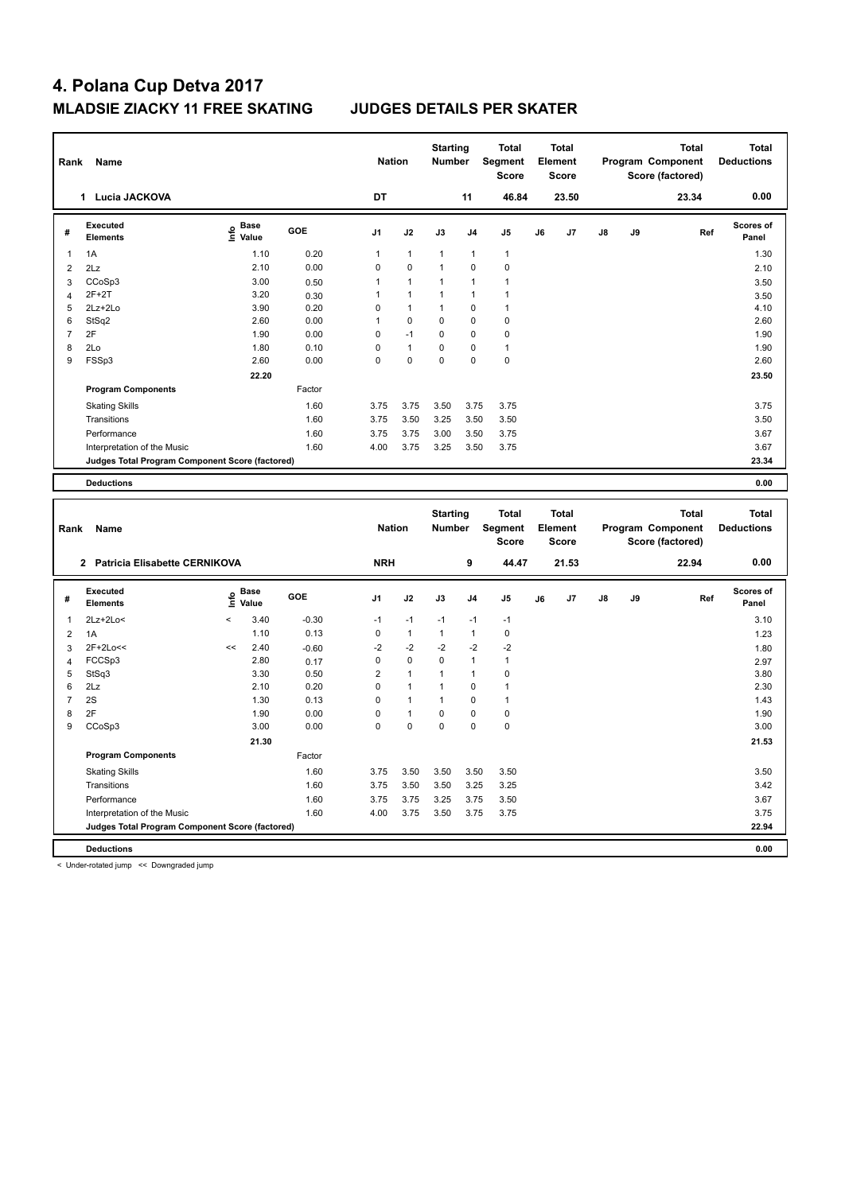| Rank           | Name                                                                           |                                           |         | <b>Nation</b>  |                | <b>Starting</b><br><b>Number</b> |                | <b>Total</b><br>Segment<br><b>Score</b> |    | <b>Total</b><br>Element<br>Score |    |    | <b>Total</b><br>Program Component<br>Score (factored) | <b>Total</b><br><b>Deductions</b> |
|----------------|--------------------------------------------------------------------------------|-------------------------------------------|---------|----------------|----------------|----------------------------------|----------------|-----------------------------------------|----|----------------------------------|----|----|-------------------------------------------------------|-----------------------------------|
|                | 1 Lucia JACKOVA                                                                |                                           |         | DT             |                |                                  | 11             | 46.84                                   |    | 23.50                            |    |    | 23.34                                                 | 0.00                              |
| #              | <b>Executed</b><br><b>Elements</b>                                             | $\frac{e}{E}$ Base<br>$\frac{e}{E}$ Value | GOE     | J1             | J2             | J3                               | J4             | J5                                      | J6 | J7                               | J8 | J9 | Ref                                                   | Scores of<br>Panel                |
| 1              | 1A                                                                             | 1.10                                      | 0.20    | $\overline{1}$ | $\mathbf{1}$   | $\mathbf{1}$                     | 1              | $\mathbf{1}$                            |    |                                  |    |    |                                                       | 1.30                              |
| $\overline{2}$ | 2Lz                                                                            | 2.10                                      | 0.00    | $\mathbf 0$    | $\pmb{0}$      | $\mathbf{1}$                     | 0              | $\pmb{0}$                               |    |                                  |    |    |                                                       | 2.10                              |
| 3              | CCoSp3                                                                         | 3.00                                      | 0.50    | $\overline{1}$ | $\mathbf{1}$   | $\mathbf{1}$                     | 1              | $\mathbf{1}$                            |    |                                  |    |    |                                                       | 3.50                              |
| $\overline{4}$ | $2F+2T$                                                                        | 3.20                                      | 0.30    | $\overline{1}$ | $\mathbf{1}$   | $\mathbf{1}$                     | 1              | 1                                       |    |                                  |    |    |                                                       | 3.50                              |
| 5              | 2Lz+2Lo                                                                        | 3.90                                      | 0.20    | $\mathbf 0$    | $\mathbf{1}$   | $\mathbf{1}$                     | $\mathbf 0$    | $\mathbf{1}$                            |    |                                  |    |    |                                                       | 4.10                              |
| 6              | StSq2                                                                          | 2.60                                      | 0.00    | $\overline{1}$ | $\mathbf 0$    | $\mathbf 0$                      | $\mathbf 0$    | $\mathbf 0$                             |    |                                  |    |    |                                                       | 2.60                              |
| $\overline{7}$ | 2F                                                                             | 1.90                                      | 0.00    | $\mathbf 0$    | $-1$           | $\mathbf 0$                      | 0              | 0                                       |    |                                  |    |    |                                                       | 1.90                              |
| 8              | 2Lo                                                                            | 1.80                                      | 0.10    | $\mathbf 0$    | $\mathbf{1}$   | $\mathbf 0$                      | $\mathbf 0$    | $\mathbf{1}$                            |    |                                  |    |    |                                                       | 1.90                              |
| 9              | FSSp3                                                                          | 2.60                                      | 0.00    | $\mathbf 0$    | $\mathbf 0$    | $\mathbf 0$                      | 0              | 0                                       |    |                                  |    |    |                                                       | 2.60                              |
|                |                                                                                | 22.20                                     |         |                |                |                                  |                |                                         |    |                                  |    |    |                                                       | 23.50                             |
|                | <b>Program Components</b>                                                      |                                           | Factor  |                |                |                                  |                |                                         |    |                                  |    |    |                                                       |                                   |
|                | <b>Skating Skills</b>                                                          |                                           | 1.60    | 3.75           | 3.75           | 3.50                             | 3.75           | 3.75                                    |    |                                  |    |    |                                                       | 3.75                              |
|                | Transitions                                                                    |                                           | 1.60    | 3.75           | 3.50           | 3.25                             | 3.50           | 3.50                                    |    |                                  |    |    |                                                       | 3.50                              |
|                | Performance                                                                    |                                           | 1.60    | 3.75           | 3.75           | 3.00                             | 3.50           | 3.75                                    |    |                                  |    |    |                                                       | 3.67                              |
|                | Interpretation of the Music                                                    |                                           | 1.60    | 4.00           | 3.75           | 3.25                             | 3.50           | 3.75                                    |    |                                  |    |    |                                                       | 3.67                              |
|                | Judges Total Program Component Score (factored)                                |                                           |         |                |                |                                  |                |                                         |    |                                  |    |    |                                                       | 23.34                             |
|                |                                                                                |                                           |         |                |                |                                  |                |                                         |    |                                  |    |    |                                                       |                                   |
|                | <b>Deductions</b>                                                              |                                           |         |                |                |                                  |                |                                         |    |                                  |    |    |                                                       | 0.00                              |
|                |                                                                                |                                           |         |                |                |                                  |                |                                         |    |                                  |    |    |                                                       |                                   |
|                |                                                                                |                                           |         |                |                |                                  |                |                                         |    |                                  |    |    |                                                       |                                   |
|                |                                                                                |                                           |         |                |                | <b>Starting</b>                  |                | <b>Total</b>                            |    | <b>Total</b>                     |    |    | <b>Total</b>                                          | <b>Total</b>                      |
| Rank           | Name                                                                           |                                           |         | <b>Nation</b>  |                | <b>Number</b>                    |                | <b>Segment</b>                          |    | Element                          |    |    | Program Component                                     | <b>Deductions</b>                 |
|                |                                                                                |                                           |         |                |                |                                  |                | Score                                   |    | <b>Score</b>                     |    |    | Score (factored)                                      |                                   |
|                |                                                                                |                                           |         |                |                |                                  |                |                                         |    |                                  |    |    |                                                       | 0.00                              |
|                | 2 Patricia Elisabette CERNIKOVA                                                |                                           |         | <b>NRH</b>     |                |                                  | 9              | 44.47                                   |    | 21.53                            |    |    | 22.94                                                 |                                   |
|                | <b>Executed</b>                                                                |                                           | GOE     |                |                |                                  |                |                                         |    |                                  |    |    |                                                       | Scores of                         |
| #              | <b>Elements</b>                                                                | $\sum_{k=1}^{\infty}$ Base                |         | J1             | J2             | J3                               | J4             | J5                                      | J6 | J7                               | J8 | J9 | Ref                                                   | Panel                             |
| 1              | 2Lz+2Lo<                                                                       | 3.40<br>$\overline{\phantom{a}}$          | $-0.30$ | $-1$           | $-1$           | $-1$                             | $-1$           | $-1$                                    |    |                                  |    |    |                                                       | 3.10                              |
| $\overline{2}$ | 1A                                                                             | 1.10                                      | 0.13    | $\pmb{0}$      | $\mathbf{1}$   | $\mathbf{1}$                     | $\mathbf{1}$   | $\pmb{0}$                               |    |                                  |    |    |                                                       | 1.23                              |
| 3              | 2F+2Lo<<                                                                       | 2.40<br><<                                | $-0.60$ | $-2$           | $-2$           | $-2$                             | $-2$           | $-2$                                    |    |                                  |    |    |                                                       | 1.80                              |
| 4              | FCCSp3                                                                         | 2.80                                      | 0.17    | $\pmb{0}$      | $\pmb{0}$      | $\mathbf 0$                      | $\mathbf{1}$   | $\mathbf{1}$                            |    |                                  |    |    |                                                       | 2.97                              |
| 5              | StSq3                                                                          | 3.30                                      | 0.50    | $\overline{2}$ | $\mathbf{1}$   | $\mathbf{1}$                     | $\mathbf{1}$   | 0                                       |    |                                  |    |    |                                                       | 3.80                              |
| 6              | 2Lz                                                                            | 2.10                                      | 0.20    | $\mathbf 0$    | $\mathbf{1}$   | $\mathbf{1}$                     | $\mathbf 0$    | $\mathbf{1}$                            |    |                                  |    |    |                                                       | 2.30                              |
| $\overline{7}$ | 2S                                                                             | 1.30                                      | 0.13    | $\mathbf 0$    | $\overline{1}$ | $\mathbf{1}$                     | $\mathbf 0$    | $\overline{1}$                          |    |                                  |    |    |                                                       | 1.43                              |
| 8              | 2F                                                                             | 1.90                                      | 0.00    | $\mathbf 0$    | $\mathbf{1}$   | $\pmb{0}$                        | $\mathbf 0$    | 0                                       |    |                                  |    |    |                                                       | 1.90                              |
| 9              | CCoSp3                                                                         | 3.00                                      | 0.00    | $\Omega$       | $\mathbf 0$    | $\mathbf 0$                      | $\overline{0}$ | $\mathbf 0$                             |    |                                  |    |    |                                                       | 3.00                              |
|                |                                                                                | 21.30                                     |         |                |                |                                  |                |                                         |    |                                  |    |    |                                                       | 21.53                             |
|                | <b>Program Components</b>                                                      |                                           | Factor  |                |                |                                  |                |                                         |    |                                  |    |    |                                                       |                                   |
|                | <b>Skating Skills</b>                                                          |                                           | 1.60    | 3.75           | 3.50           | 3.50                             | 3.50           | 3.50                                    |    |                                  |    |    |                                                       | 3.50                              |
|                | Transitions                                                                    |                                           | 1.60    | 3.75           | 3.50           | 3.50                             | 3.25           | 3.25                                    |    |                                  |    |    |                                                       | 3.42                              |
|                | Performance                                                                    |                                           | 1.60    | 3.75           | 3.75           | 3.25                             | 3.75           | 3.50                                    |    |                                  |    |    |                                                       | 3.67                              |
|                |                                                                                |                                           |         |                |                |                                  |                |                                         |    |                                  |    |    |                                                       |                                   |
|                | Interpretation of the Music<br>Judges Total Program Component Score (factored) |                                           | 1.60    | 4.00           | 3.75           | 3.50                             | 3.75           | 3.75                                    |    |                                  |    |    |                                                       | 3.75<br>22.94                     |

**Deductions 0.00**

< Under-rotated jump << Downgraded jump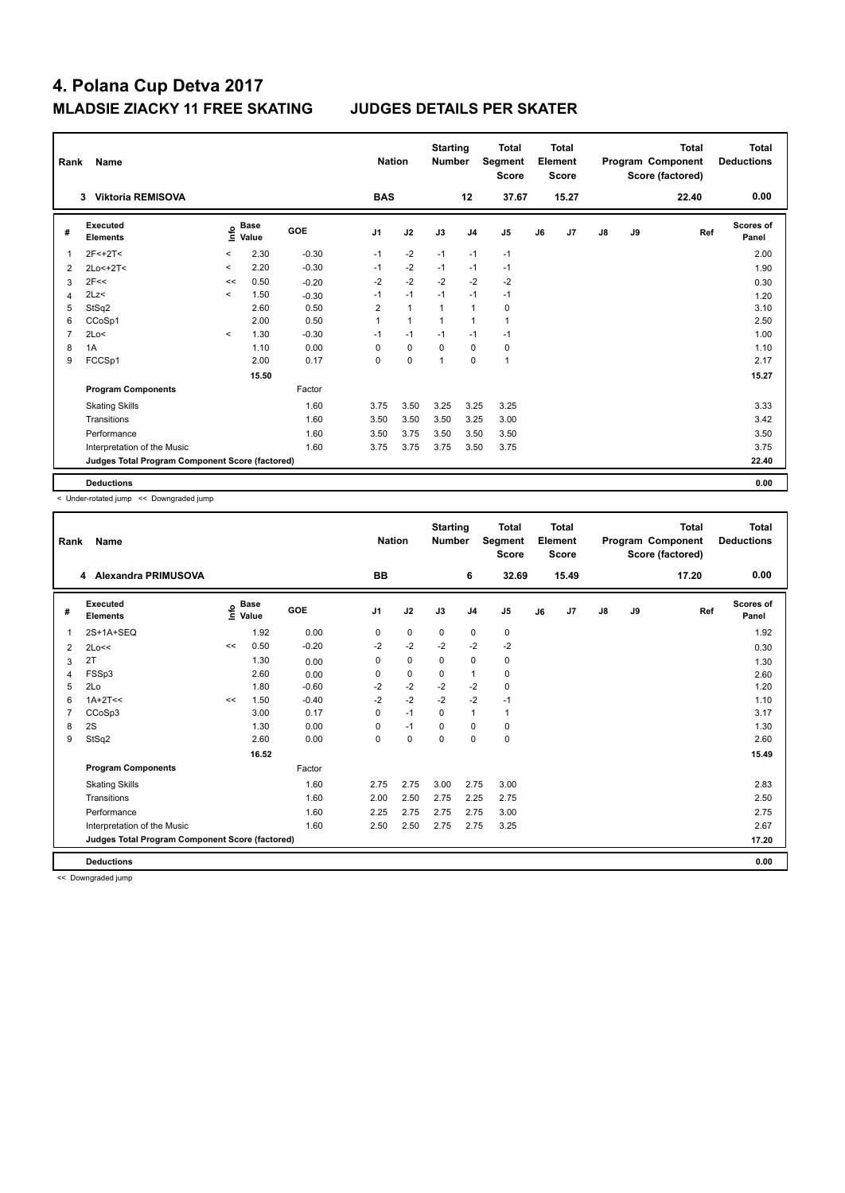| Rank | Name                                            |         |                      |            | <b>Nation</b>  |              | <b>Starting</b><br><b>Number</b> |                | <b>Total</b><br>Segment<br><b>Score</b> |    | <b>Total</b><br>Element<br><b>Score</b> |               |    | <b>Total</b><br>Program Component<br>Score (factored) | Total<br><b>Deductions</b> |
|------|-------------------------------------------------|---------|----------------------|------------|----------------|--------------|----------------------------------|----------------|-----------------------------------------|----|-----------------------------------------|---------------|----|-------------------------------------------------------|----------------------------|
|      | <b>Viktoria REMISOVA</b><br>3                   |         |                      |            | <b>BAS</b>     |              |                                  | 12             | 37.67                                   |    | 15.27                                   |               |    | 22.40                                                 | 0.00                       |
| #    | <b>Executed</b><br><b>Elements</b>              | e       | <b>Base</b><br>Value | <b>GOE</b> | J <sub>1</sub> | J2           | J3                               | J <sub>4</sub> | J <sub>5</sub>                          | J6 | J7                                      | $\mathsf{J}8$ | J9 | Ref                                                   | <b>Scores of</b><br>Panel  |
| 1    | $2F < +2T <$                                    | $\prec$ | 2.30                 | $-0.30$    | $-1$           | $-2$         | $-1$                             | $-1$           | $-1$                                    |    |                                         |               |    |                                                       | 2.00                       |
| 2    | $2Lo < +2T <$                                   | $\,<\,$ | 2.20                 | $-0.30$    | $-1$           | $-2$         | $-1$                             | $-1$           | $-1$                                    |    |                                         |               |    |                                                       | 1.90                       |
| 3    | 2F<<                                            | <<      | 0.50                 | $-0.20$    | $-2$           | $-2$         | $-2$                             | $-2$           | $-2$                                    |    |                                         |               |    |                                                       | 0.30                       |
| 4    | 2Lz                                             | $\prec$ | 1.50                 | $-0.30$    | $-1$           | $-1$         | $-1$                             | $-1$           | $-1$                                    |    |                                         |               |    |                                                       | 1.20                       |
| 5    | StSq2                                           |         | 2.60                 | 0.50       | $\overline{2}$ | $\mathbf{1}$ | 1                                | $\mathbf{1}$   | 0                                       |    |                                         |               |    |                                                       | 3.10                       |
| 6    | CCoSp1                                          |         | 2.00                 | 0.50       | 1              | $\mathbf{1}$ | 1                                | $\overline{1}$ | $\mathbf{1}$                            |    |                                         |               |    |                                                       | 2.50                       |
| 7    | 2Lo<                                            | $\prec$ | 1.30                 | $-0.30$    | $-1$           | $-1$         | $-1$                             | $-1$           | $-1$                                    |    |                                         |               |    |                                                       | 1.00                       |
| 8    | 1A                                              |         | 1.10                 | 0.00       | 0              | $\mathbf 0$  | 0                                | $\mathbf 0$    | $\pmb{0}$                               |    |                                         |               |    |                                                       | 1.10                       |
| 9    | FCCSp1                                          |         | 2.00                 | 0.17       | 0              | $\mathbf 0$  | 1                                | $\mathbf 0$    | $\mathbf{1}$                            |    |                                         |               |    |                                                       | 2.17                       |
|      |                                                 |         | 15.50                |            |                |              |                                  |                |                                         |    |                                         |               |    |                                                       | 15.27                      |
|      | <b>Program Components</b>                       |         |                      | Factor     |                |              |                                  |                |                                         |    |                                         |               |    |                                                       |                            |
|      | <b>Skating Skills</b>                           |         |                      | 1.60       | 3.75           | 3.50         | 3.25                             | 3.25           | 3.25                                    |    |                                         |               |    |                                                       | 3.33                       |
|      | Transitions                                     |         |                      | 1.60       | 3.50           | 3.50         | 3.50                             | 3.25           | 3.00                                    |    |                                         |               |    |                                                       | 3.42                       |
|      | Performance                                     |         |                      | 1.60       | 3.50           | 3.75         | 3.50                             | 3.50           | 3.50                                    |    |                                         |               |    |                                                       | 3.50                       |
|      | Interpretation of the Music                     |         |                      | 1.60       | 3.75           | 3.75         | 3.75                             | 3.50           | 3.75                                    |    |                                         |               |    |                                                       | 3.75                       |
|      | Judges Total Program Component Score (factored) |         |                      |            |                |              |                                  |                |                                         |    |                                         |               |    |                                                       | 22.40                      |
|      | <b>Deductions</b>                               |         |                      |            |                |              |                                  |                |                                         |    |                                         |               |    |                                                       | 0.00                       |

< Under-rotated jump << Downgraded jump

| Rank | Name                                            |    |                                    |         | <b>Nation</b>  |             | <b>Starting</b><br><b>Number</b> |                | <b>Total</b><br>Segment<br><b>Score</b> |    | <b>Total</b><br>Element<br><b>Score</b> |               |    | <b>Total</b><br>Program Component<br>Score (factored) | <b>Total</b><br><b>Deductions</b> |
|------|-------------------------------------------------|----|------------------------------------|---------|----------------|-------------|----------------------------------|----------------|-----------------------------------------|----|-----------------------------------------|---------------|----|-------------------------------------------------------|-----------------------------------|
|      | 4 Alexandra PRIMUSOVA                           |    |                                    |         | <b>BB</b>      |             |                                  | 6              | 32.69                                   |    | 15.49                                   |               |    | 17.20                                                 | 0.00                              |
| #    | Executed<br><b>Elements</b>                     |    | <b>Base</b><br>$\frac{6}{5}$ Value | GOE     | J <sub>1</sub> | J2          | J3                               | J <sub>4</sub> | J <sub>5</sub>                          | J6 | J7                                      | $\mathsf{J}8$ | J9 | Ref                                                   | <b>Scores of</b><br>Panel         |
| 1    | 2S+1A+SEQ                                       |    | 1.92                               | 0.00    | 0              | $\pmb{0}$   | $\mathbf 0$                      | $\mathbf 0$    | $\mathbf 0$                             |    |                                         |               |    |                                                       | 1.92                              |
| 2    | 2Lo<<                                           | << | 0.50                               | $-0.20$ | $-2$           | $-2$        | $-2$                             | $-2$           | $-2$                                    |    |                                         |               |    |                                                       | 0.30                              |
| 3    | 2T                                              |    | 1.30                               | 0.00    | 0              | $\mathbf 0$ | 0                                | $\mathbf 0$    | 0                                       |    |                                         |               |    |                                                       | 1.30                              |
| 4    | FSSp3                                           |    | 2.60                               | 0.00    | 0              | 0           | 0                                | $\mathbf{1}$   | 0                                       |    |                                         |               |    |                                                       | 2.60                              |
| 5    | 2Lo                                             |    | 1.80                               | $-0.60$ | $-2$           | $-2$        | $-2$                             | $-2$           | 0                                       |    |                                         |               |    |                                                       | 1.20                              |
| 6    | $1A+2T<<$                                       | << | 1.50                               | $-0.40$ | $-2$           | $-2$        | $-2$                             | $-2$           | $-1$                                    |    |                                         |               |    |                                                       | 1.10                              |
| 7    | CCoSp3                                          |    | 3.00                               | 0.17    | 0              | $-1$        | 0                                | $\mathbf{1}$   | $\mathbf{1}$                            |    |                                         |               |    |                                                       | 3.17                              |
| 8    | 2S                                              |    | 1.30                               | 0.00    | 0              | $-1$        | 0                                | 0              | 0                                       |    |                                         |               |    |                                                       | 1.30                              |
| 9    | StSq2                                           |    | 2.60                               | 0.00    | 0              | $\mathbf 0$ | $\mathbf 0$                      | $\mathbf 0$    | $\mathbf 0$                             |    |                                         |               |    |                                                       | 2.60                              |
|      |                                                 |    | 16.52                              |         |                |             |                                  |                |                                         |    |                                         |               |    |                                                       | 15.49                             |
|      | <b>Program Components</b>                       |    |                                    | Factor  |                |             |                                  |                |                                         |    |                                         |               |    |                                                       |                                   |
|      | <b>Skating Skills</b>                           |    |                                    | 1.60    | 2.75           | 2.75        | 3.00                             | 2.75           | 3.00                                    |    |                                         |               |    |                                                       | 2.83                              |
|      | Transitions                                     |    |                                    | 1.60    | 2.00           | 2.50        | 2.75                             | 2.25           | 2.75                                    |    |                                         |               |    |                                                       | 2.50                              |
|      | Performance                                     |    |                                    | 1.60    | 2.25           | 2.75        | 2.75                             | 2.75           | 3.00                                    |    |                                         |               |    |                                                       | 2.75                              |
|      | Interpretation of the Music                     |    |                                    | 1.60    | 2.50           | 2.50        | 2.75                             | 2.75           | 3.25                                    |    |                                         |               |    |                                                       | 2.67                              |
|      | Judges Total Program Component Score (factored) |    |                                    |         |                |             |                                  |                |                                         |    |                                         |               |    |                                                       | 17.20                             |
|      | <b>Deductions</b>                               |    |                                    |         |                |             |                                  |                |                                         |    |                                         |               |    |                                                       | 0.00                              |

<< Downgraded jump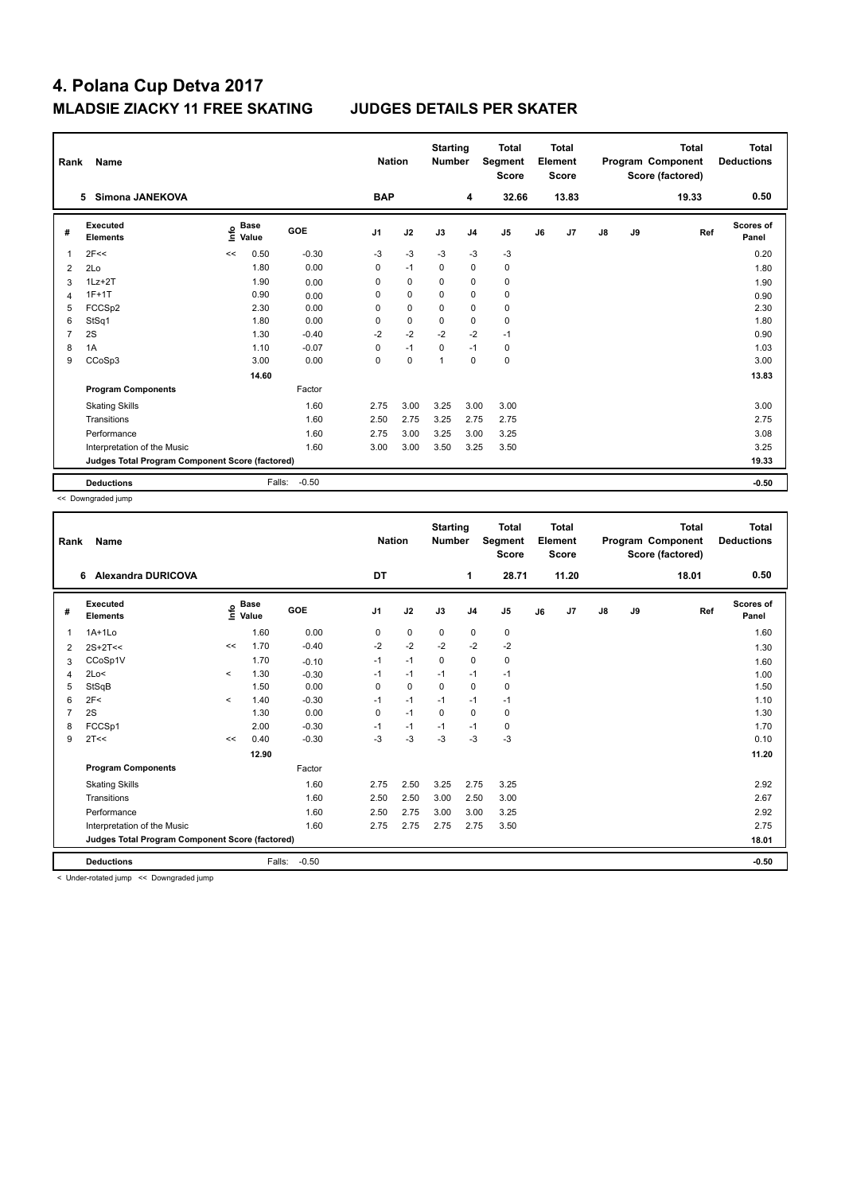| Rank           | Name                                            |      |                      |         |                | <b>Nation</b> | <b>Starting</b><br><b>Number</b> |                | <b>Total</b><br>Segment<br><b>Score</b> |    | Total<br>Element<br><b>Score</b> |               |    | <b>Total</b><br>Program Component<br>Score (factored) | <b>Total</b><br><b>Deductions</b> |
|----------------|-------------------------------------------------|------|----------------------|---------|----------------|---------------|----------------------------------|----------------|-----------------------------------------|----|----------------------------------|---------------|----|-------------------------------------------------------|-----------------------------------|
|                | <b>Simona JANEKOVA</b><br>5                     |      |                      |         | <b>BAP</b>     |               |                                  | 4              | 32.66                                   |    | 13.83                            |               |    | 19.33                                                 | 0.50                              |
| #              | Executed<br><b>Elements</b>                     | ١nfo | <b>Base</b><br>Value | GOE     | J <sub>1</sub> | J2            | J3                               | J <sub>4</sub> | J <sub>5</sub>                          | J6 | J <sub>7</sub>                   | $\mathsf{J}8$ | J9 | Ref                                                   | Scores of<br>Panel                |
| 1              | 2F<<                                            | <<   | 0.50                 | $-0.30$ | $-3$           | $-3$          | $-3$                             | $-3$           | $-3$                                    |    |                                  |               |    |                                                       | 0.20                              |
| $\overline{2}$ | 2Lo                                             |      | 1.80                 | 0.00    | 0              | $-1$          | 0                                | $\pmb{0}$      | $\pmb{0}$                               |    |                                  |               |    |                                                       | 1.80                              |
| 3              | $1Lz + 2T$                                      |      | 1.90                 | 0.00    | 0              | $\mathbf 0$   | 0                                | $\mathbf 0$    | $\mathbf 0$                             |    |                                  |               |    |                                                       | 1.90                              |
| 4              | $1F+1T$                                         |      | 0.90                 | 0.00    | $\Omega$       | $\mathbf 0$   | $\Omega$                         | $\mathbf 0$    | $\mathbf 0$                             |    |                                  |               |    |                                                       | 0.90                              |
| 5              | FCCS <sub>p2</sub>                              |      | 2.30                 | 0.00    | 0              | $\mathbf 0$   | 0                                | $\mathbf 0$    | $\pmb{0}$                               |    |                                  |               |    |                                                       | 2.30                              |
| 6              | StSq1                                           |      | 1.80                 | 0.00    | 0              | $\Omega$      | $\Omega$                         | $\Omega$       | $\pmb{0}$                               |    |                                  |               |    |                                                       | 1.80                              |
| 7              | 2S                                              |      | 1.30                 | $-0.40$ | $-2$           | $-2$          | $-2$                             | $-2$           | $-1$                                    |    |                                  |               |    |                                                       | 0.90                              |
| 8              | 1A                                              |      | 1.10                 | $-0.07$ | 0              | $-1$          | 0                                | $-1$           | 0                                       |    |                                  |               |    |                                                       | 1.03                              |
| 9              | CCoSp3                                          |      | 3.00                 | 0.00    | $\Omega$       | $\mathbf 0$   | 1                                | $\mathbf 0$    | $\pmb{0}$                               |    |                                  |               |    |                                                       | 3.00                              |
|                |                                                 |      | 14.60                |         |                |               |                                  |                |                                         |    |                                  |               |    |                                                       | 13.83                             |
|                | <b>Program Components</b>                       |      |                      | Factor  |                |               |                                  |                |                                         |    |                                  |               |    |                                                       |                                   |
|                | <b>Skating Skills</b>                           |      |                      | 1.60    | 2.75           | 3.00          | 3.25                             | 3.00           | 3.00                                    |    |                                  |               |    |                                                       | 3.00                              |
|                | Transitions                                     |      |                      | 1.60    | 2.50           | 2.75          | 3.25                             | 2.75           | 2.75                                    |    |                                  |               |    |                                                       | 2.75                              |
|                | Performance                                     |      |                      | 1.60    | 2.75           | 3.00          | 3.25                             | 3.00           | 3.25                                    |    |                                  |               |    |                                                       | 3.08                              |
|                | Interpretation of the Music                     |      |                      | 1.60    | 3.00           | 3.00          | 3.50                             | 3.25           | 3.50                                    |    |                                  |               |    |                                                       | 3.25                              |
|                | Judges Total Program Component Score (factored) |      |                      |         |                |               |                                  |                |                                         |    |                                  |               |    |                                                       | 19.33                             |
|                | <b>Deductions</b>                               |      | Falls:               | $-0.50$ |                |               |                                  |                |                                         |    |                                  |               |    |                                                       | $-0.50$                           |

<< Downgraded jump

| Rank | Name                                            |          |                                  |            | <b>Nation</b>  |             | <b>Starting</b><br><b>Number</b> |                | <b>Total</b><br>Segment<br><b>Score</b> |    | <b>Total</b><br>Element<br><b>Score</b> |    |    | <b>Total</b><br>Program Component<br>Score (factored) | <b>Total</b><br><b>Deductions</b> |
|------|-------------------------------------------------|----------|----------------------------------|------------|----------------|-------------|----------------------------------|----------------|-----------------------------------------|----|-----------------------------------------|----|----|-------------------------------------------------------|-----------------------------------|
|      | <b>Alexandra DURICOVA</b><br>6                  |          |                                  |            | DT             |             |                                  | 1              | 28.71                                   |    | 11.20                                   |    |    | 18.01                                                 | 0.50                              |
| #    | Executed<br><b>Elements</b>                     |          | <b>Base</b><br>e Base<br>⊆ Value | <b>GOE</b> | J <sub>1</sub> | J2          | J3                               | J <sub>4</sub> | J5                                      | J6 | J7                                      | J8 | J9 | Ref                                                   | Scores of<br>Panel                |
| 1    | $1A+1Lo$                                        |          | 1.60                             | 0.00       | 0              | 0           | $\mathbf 0$                      | 0              | 0                                       |    |                                         |    |    |                                                       | 1.60                              |
| 2    | $2S+2T<<$                                       | <<       | 1.70                             | $-0.40$    | $-2$           | $-2$        | $-2$                             | $-2$           | $-2$                                    |    |                                         |    |    |                                                       | 1.30                              |
| 3    | CCoSp1V                                         |          | 1.70                             | $-0.10$    | $-1$           | $-1$        | $\mathbf 0$                      | $\mathbf 0$    | $\mathbf 0$                             |    |                                         |    |    |                                                       | 1.60                              |
| 4    | 2Lo<                                            | $\hat{}$ | 1.30                             | $-0.30$    | $-1$           | $-1$        | $-1$                             | $-1$           | $-1$                                    |    |                                         |    |    |                                                       | 1.00                              |
| 5    | StSqB                                           |          | 1.50                             | 0.00       | 0              | $\mathbf 0$ | $\Omega$                         | $\mathbf 0$    | 0                                       |    |                                         |    |    |                                                       | 1.50                              |
| 6    | 2F<                                             | $\prec$  | 1.40                             | $-0.30$    | $-1$           | $-1$        | $-1$                             | $-1$           | $-1$                                    |    |                                         |    |    |                                                       | 1.10                              |
|      | 2S                                              |          | 1.30                             | 0.00       | $\Omega$       | $-1$        | $\Omega$                         | $\mathbf 0$    | 0                                       |    |                                         |    |    |                                                       | 1.30                              |
| 8    | FCCSp1                                          |          | 2.00                             | $-0.30$    | $-1$           | $-1$        | $-1$                             | $-1$           | $\pmb{0}$                               |    |                                         |    |    |                                                       | 1.70                              |
| 9    | 2T<<                                            | <<       | 0.40                             | $-0.30$    | -3             | $-3$        | -3                               | $-3$           | $-3$                                    |    |                                         |    |    |                                                       | 0.10                              |
|      |                                                 |          | 12.90                            |            |                |             |                                  |                |                                         |    |                                         |    |    |                                                       | 11.20                             |
|      | <b>Program Components</b>                       |          |                                  | Factor     |                |             |                                  |                |                                         |    |                                         |    |    |                                                       |                                   |
|      | <b>Skating Skills</b>                           |          |                                  | 1.60       | 2.75           | 2.50        | 3.25                             | 2.75           | 3.25                                    |    |                                         |    |    |                                                       | 2.92                              |
|      | Transitions                                     |          |                                  | 1.60       | 2.50           | 2.50        | 3.00                             | 2.50           | 3.00                                    |    |                                         |    |    |                                                       | 2.67                              |
|      | Performance                                     |          |                                  | 1.60       | 2.50           | 2.75        | 3.00                             | 3.00           | 3.25                                    |    |                                         |    |    |                                                       | 2.92                              |
|      | Interpretation of the Music                     |          |                                  | 1.60       | 2.75           | 2.75        | 2.75                             | 2.75           | 3.50                                    |    |                                         |    |    |                                                       | 2.75                              |
|      | Judges Total Program Component Score (factored) |          |                                  |            |                |             |                                  |                |                                         |    |                                         |    |    |                                                       | 18.01                             |
|      | <b>Deductions</b>                               |          | Falls:                           | $-0.50$    |                |             |                                  |                |                                         |    |                                         |    |    |                                                       | $-0.50$                           |

< Under-rotated jump << Downgraded jump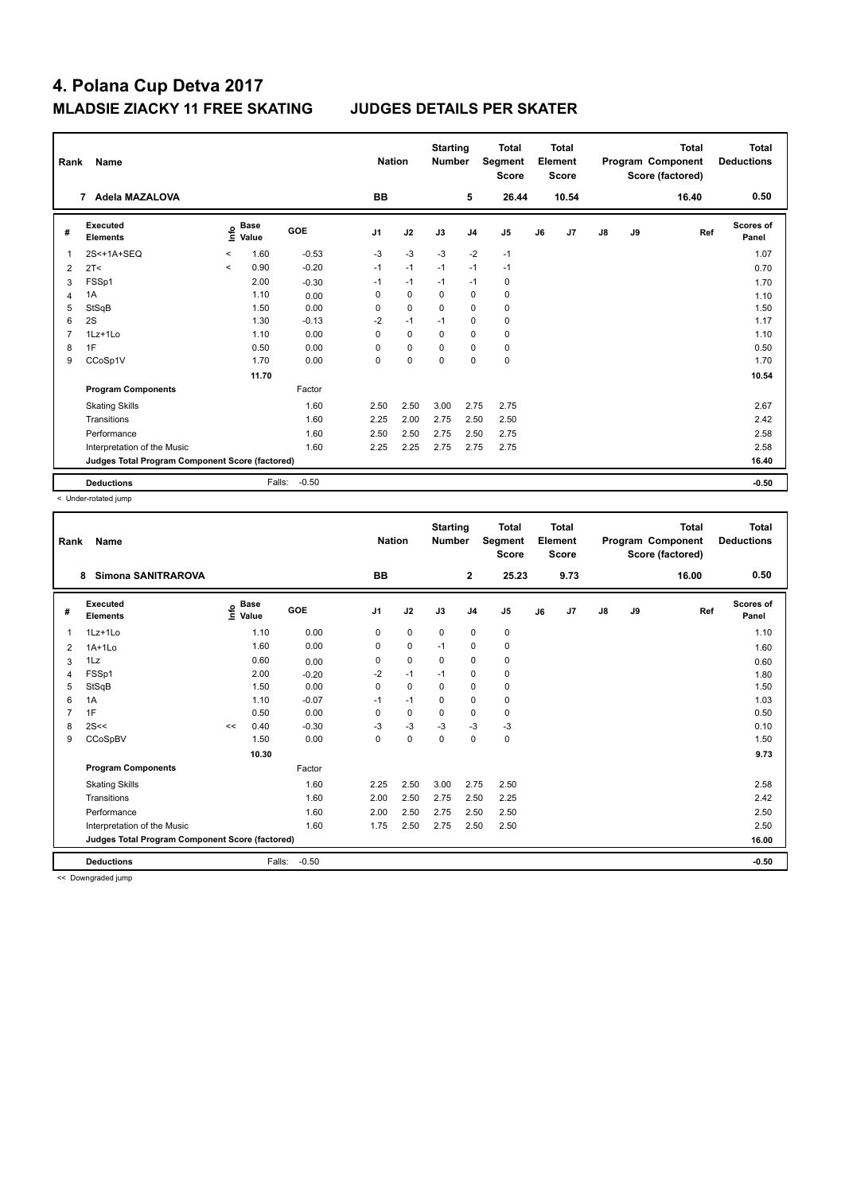| Rank           | Name                                            |                          |                      |            | <b>Nation</b>  |             | <b>Starting</b><br><b>Number</b> |                | <b>Total</b><br>Segment<br><b>Score</b> |    | Total<br>Element<br><b>Score</b> |    |    | <b>Total</b><br>Program Component<br>Score (factored) | Total<br><b>Deductions</b> |
|----------------|-------------------------------------------------|--------------------------|----------------------|------------|----------------|-------------|----------------------------------|----------------|-----------------------------------------|----|----------------------------------|----|----|-------------------------------------------------------|----------------------------|
|                | Adela MAZALOVA<br>$\overline{7}$                |                          |                      |            | <b>BB</b>      |             |                                  | 5              | 26.44                                   |    | 10.54                            |    |    | 16.40                                                 | 0.50                       |
| #              | Executed<br><b>Elements</b>                     | ١nfo                     | <b>Base</b><br>Value | <b>GOE</b> | J <sub>1</sub> | J2          | J3                               | J <sub>4</sub> | J5                                      | J6 | J7                               | J8 | J9 | Ref                                                   | Scores of<br>Panel         |
| 1              | 2S<+1A+SEQ                                      | $\checkmark$             | 1.60                 | $-0.53$    | $-3$           | $-3$        | $-3$                             | $-2$           | $-1$                                    |    |                                  |    |    |                                                       | 1.07                       |
| $\overline{2}$ | 2T <                                            | $\overline{\phantom{0}}$ | 0.90                 | $-0.20$    | $-1$           | $-1$        | $-1$                             | $-1$           | $-1$                                    |    |                                  |    |    |                                                       | 0.70                       |
| 3              | FSSp1                                           |                          | 2.00                 | $-0.30$    | $-1$           | $-1$        | $-1$                             | $-1$           | 0                                       |    |                                  |    |    |                                                       | 1.70                       |
| $\overline{4}$ | 1A                                              |                          | 1.10                 | 0.00       | $\Omega$       | $\mathbf 0$ | $\Omega$                         | $\mathbf 0$    | $\mathbf 0$                             |    |                                  |    |    |                                                       | 1.10                       |
| 5              | StSqB                                           |                          | 1.50                 | 0.00       | 0              | $\mathbf 0$ | $\Omega$                         | 0              | 0                                       |    |                                  |    |    |                                                       | 1.50                       |
| 6              | 2S                                              |                          | 1.30                 | $-0.13$    | $-2$           | $-1$        | $-1$                             | $\mathbf 0$    | $\mathbf 0$                             |    |                                  |    |    |                                                       | 1.17                       |
| 7              | 1Lz+1Lo                                         |                          | 1.10                 | 0.00       | $\Omega$       | $\mathbf 0$ | 0                                | 0              | 0                                       |    |                                  |    |    |                                                       | 1.10                       |
| 8              | 1F                                              |                          | 0.50                 | 0.00       | $\Omega$       | $\mathbf 0$ | $\Omega$                         | 0              | 0                                       |    |                                  |    |    |                                                       | 0.50                       |
| 9              | CCoSp1V                                         |                          | 1.70                 | 0.00       | $\Omega$       | $\mathbf 0$ | 0                                | $\Omega$       | $\pmb{0}$                               |    |                                  |    |    |                                                       | 1.70                       |
|                |                                                 |                          | 11.70                |            |                |             |                                  |                |                                         |    |                                  |    |    |                                                       | 10.54                      |
|                | <b>Program Components</b>                       |                          |                      | Factor     |                |             |                                  |                |                                         |    |                                  |    |    |                                                       |                            |
|                | <b>Skating Skills</b>                           |                          |                      | 1.60       | 2.50           | 2.50        | 3.00                             | 2.75           | 2.75                                    |    |                                  |    |    |                                                       | 2.67                       |
|                | Transitions                                     |                          |                      | 1.60       | 2.25           | 2.00        | 2.75                             | 2.50           | 2.50                                    |    |                                  |    |    |                                                       | 2.42                       |
|                | Performance                                     |                          |                      | 1.60       | 2.50           | 2.50        | 2.75                             | 2.50           | 2.75                                    |    |                                  |    |    |                                                       | 2.58                       |
|                | Interpretation of the Music                     |                          |                      | 1.60       | 2.25           | 2.25        | 2.75                             | 2.75           | 2.75                                    |    |                                  |    |    |                                                       | 2.58                       |
|                | Judges Total Program Component Score (factored) |                          |                      |            |                |             |                                  |                |                                         |    |                                  |    |    |                                                       | 16.40                      |
|                | <b>Deductions</b>                               |                          | Falls:               | $-0.50$    |                |             |                                  |                |                                         |    |                                  |    |    |                                                       | $-0.50$                    |

< Under-rotated jump

| Rank | <b>Name</b>                                     |                                    |        |         | <b>Nation</b>  |             | <b>Starting</b><br><b>Number</b> |                | <b>Total</b><br>Segment<br><b>Score</b> |    | <b>Total</b><br>Element<br><b>Score</b> |               |    | <b>Total</b><br>Program Component<br>Score (factored) | <b>Total</b><br><b>Deductions</b> |
|------|-------------------------------------------------|------------------------------------|--------|---------|----------------|-------------|----------------------------------|----------------|-----------------------------------------|----|-----------------------------------------|---------------|----|-------------------------------------------------------|-----------------------------------|
|      | <b>Simona SANITRAROVA</b><br>8                  |                                    |        |         | <b>BB</b>      |             |                                  | $\mathbf{2}$   | 25.23                                   |    | 9.73                                    |               |    | 16.00                                                 | 0.50                              |
| #    | Executed<br><b>Elements</b>                     | <b>Base</b><br>$\frac{6}{5}$ Value |        | GOE     | J <sub>1</sub> | J2          | J3                               | J <sub>4</sub> | J <sub>5</sub>                          | J6 | J7                                      | $\mathsf{J}8$ | J9 | Ref                                                   | Scores of<br>Panel                |
| 1    | 1Lz+1Lo                                         |                                    | 1.10   | 0.00    | 0              | $\mathbf 0$ | $\mathbf 0$                      | $\mathbf 0$    | $\pmb{0}$                               |    |                                         |               |    |                                                       | 1.10                              |
| 2    | $1A+1Lo$                                        |                                    | 1.60   | 0.00    | 0              | $\mathbf 0$ | $-1$                             | 0              | 0                                       |    |                                         |               |    |                                                       | 1.60                              |
| 3    | 1Lz                                             |                                    | 0.60   | 0.00    | 0              | $\mathbf 0$ | 0                                | 0              | 0                                       |    |                                         |               |    |                                                       | 0.60                              |
| 4    | FSSp1                                           |                                    | 2.00   | $-0.20$ | $-2$           | $-1$        | $-1$                             | $\mathbf 0$    | $\pmb{0}$                               |    |                                         |               |    |                                                       | 1.80                              |
| 5    | StSqB                                           |                                    | 1.50   | 0.00    | 0              | $\mathbf 0$ | 0                                | 0              | 0                                       |    |                                         |               |    |                                                       | 1.50                              |
| 6    | 1A                                              |                                    | 1.10   | $-0.07$ | $-1$           | $-1$        | 0                                | 0              | 0                                       |    |                                         |               |    |                                                       | 1.03                              |
|      | 1F                                              |                                    | 0.50   | 0.00    | 0              | $\mathbf 0$ | 0                                | 0              | 0                                       |    |                                         |               |    |                                                       | 0.50                              |
| 8    | 2S<<                                            | <<                                 | 0.40   | $-0.30$ | $-3$           | $-3$        | $-3$                             | $-3$           | $-3$                                    |    |                                         |               |    |                                                       | 0.10                              |
| 9    | CCoSpBV                                         |                                    | 1.50   | 0.00    | 0              | $\mathbf 0$ | $\mathbf 0$                      | $\mathbf 0$    | $\pmb{0}$                               |    |                                         |               |    |                                                       | 1.50                              |
|      |                                                 |                                    | 10.30  |         |                |             |                                  |                |                                         |    |                                         |               |    |                                                       | 9.73                              |
|      | <b>Program Components</b>                       |                                    |        | Factor  |                |             |                                  |                |                                         |    |                                         |               |    |                                                       |                                   |
|      | <b>Skating Skills</b>                           |                                    |        | 1.60    | 2.25           | 2.50        | 3.00                             | 2.75           | 2.50                                    |    |                                         |               |    |                                                       | 2.58                              |
|      | Transitions                                     |                                    |        | 1.60    | 2.00           | 2.50        | 2.75                             | 2.50           | 2.25                                    |    |                                         |               |    |                                                       | 2.42                              |
|      | Performance                                     |                                    |        | 1.60    | 2.00           | 2.50        | 2.75                             | 2.50           | 2.50                                    |    |                                         |               |    |                                                       | 2.50                              |
|      | Interpretation of the Music                     |                                    |        | 1.60    | 1.75           | 2.50        | 2.75                             | 2.50           | 2.50                                    |    |                                         |               |    |                                                       | 2.50                              |
|      | Judges Total Program Component Score (factored) |                                    |        |         |                |             |                                  |                |                                         |    |                                         |               |    |                                                       | 16.00                             |
|      | <b>Deductions</b>                               |                                    | Falls: | $-0.50$ |                |             |                                  |                |                                         |    |                                         |               |    |                                                       | $-0.50$                           |

<< Downgraded jump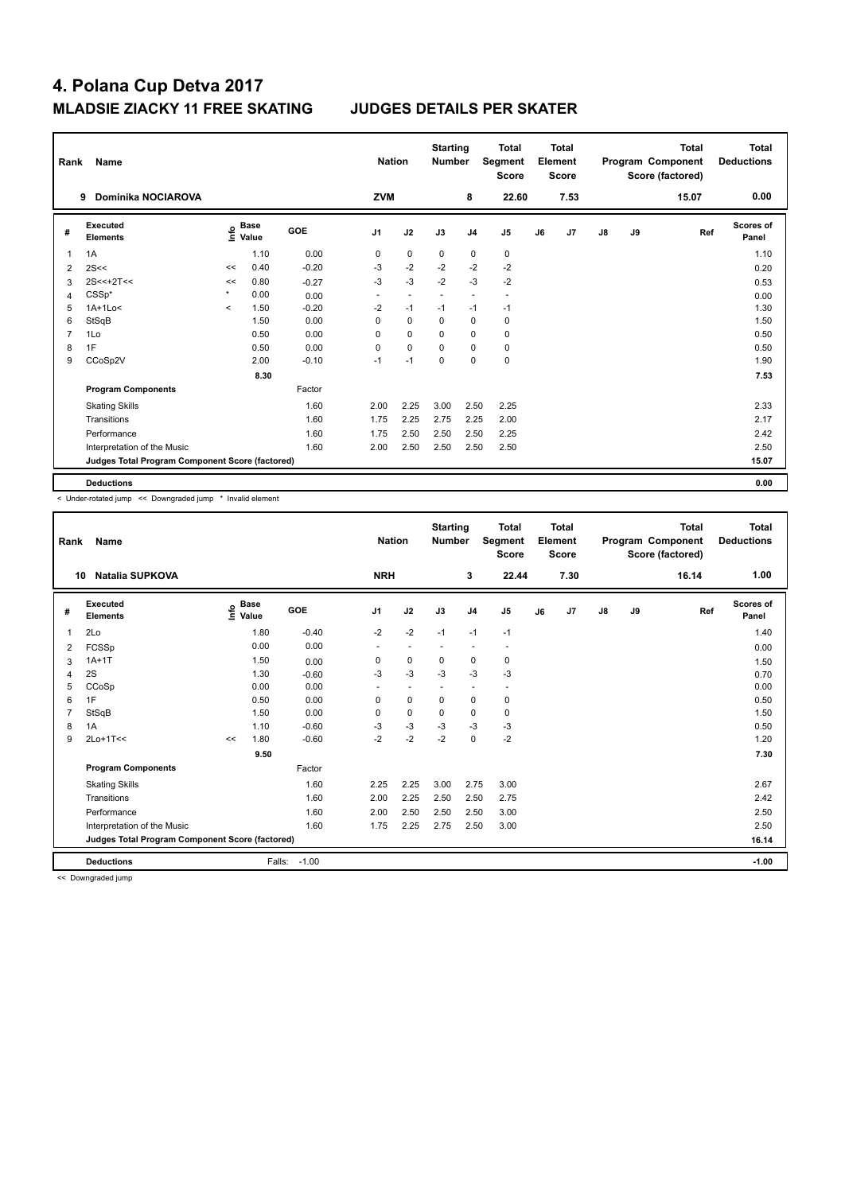| Rank           | Name                                            |                     |                                  |            | <b>Nation</b>  |             | <b>Starting</b><br><b>Number</b> |                | <b>Total</b><br>Segment<br><b>Score</b> |    | <b>Total</b><br>Element<br><b>Score</b> |               |    | <b>Total</b><br>Program Component<br>Score (factored) | Total<br><b>Deductions</b> |
|----------------|-------------------------------------------------|---------------------|----------------------------------|------------|----------------|-------------|----------------------------------|----------------|-----------------------------------------|----|-----------------------------------------|---------------|----|-------------------------------------------------------|----------------------------|
|                | <b>Dominika NOCIAROVA</b><br>9                  |                     |                                  |            | <b>ZVM</b>     |             |                                  | 8              | 22.60                                   |    | 7.53                                    |               |    | 15.07                                                 | 0.00                       |
| #              | Executed<br><b>Elements</b>                     |                     | <b>Base</b><br>o Base<br>⊆ Value | <b>GOE</b> | J <sub>1</sub> | J2          | J3                               | J <sub>4</sub> | J5                                      | J6 | J7                                      | $\mathsf{J}8$ | J9 | Ref                                                   | <b>Scores of</b><br>Panel  |
| 1              | 1A                                              |                     | 1.10                             | 0.00       | 0              | $\mathbf 0$ | $\mathbf 0$                      | $\mathbf 0$    | $\mathbf 0$                             |    |                                         |               |    |                                                       | 1.10                       |
| $\overline{2}$ | 2S<<                                            | <<                  | 0.40                             | $-0.20$    | -3             | $-2$        | $-2$                             | $-2$           | $-2$                                    |    |                                         |               |    |                                                       | 0.20                       |
| 3              | $2S<<+2T<<$                                     | <<                  | 0.80                             | $-0.27$    | $-3$           | $-3$        | $-2$                             | $-3$           | $-2$                                    |    |                                         |               |    |                                                       | 0.53                       |
| 4              | $CSSp*$                                         | $\star$             | 0.00                             | 0.00       | ٠              |             |                                  | ÷              | $\overline{a}$                          |    |                                         |               |    |                                                       | 0.00                       |
| 5              | $1A+1Lo<$                                       | $\hat{\phantom{a}}$ | 1.50                             | $-0.20$    | $-2$           | $-1$        | $-1$                             | $-1$           | $-1$                                    |    |                                         |               |    |                                                       | 1.30                       |
| 6              | StSqB                                           |                     | 1.50                             | 0.00       | 0              | $\mathbf 0$ | 0                                | $\mathbf 0$    | $\pmb{0}$                               |    |                                         |               |    |                                                       | 1.50                       |
| 7              | 1Lo                                             |                     | 0.50                             | 0.00       | 0              | $\mathbf 0$ | $\mathbf 0$                      | $\mathbf 0$    | $\pmb{0}$                               |    |                                         |               |    |                                                       | 0.50                       |
| 8              | 1F                                              |                     | 0.50                             | 0.00       | 0              | $\mathbf 0$ | 0                                | 0              | 0                                       |    |                                         |               |    |                                                       | 0.50                       |
| 9              | CCoSp2V                                         |                     | 2.00                             | $-0.10$    | $-1$           | $-1$        | 0                                | $\mathbf 0$    | $\pmb{0}$                               |    |                                         |               |    |                                                       | 1.90                       |
|                |                                                 |                     | 8.30                             |            |                |             |                                  |                |                                         |    |                                         |               |    |                                                       | 7.53                       |
|                | <b>Program Components</b>                       |                     |                                  | Factor     |                |             |                                  |                |                                         |    |                                         |               |    |                                                       |                            |
|                | <b>Skating Skills</b>                           |                     |                                  | 1.60       | 2.00           | 2.25        | 3.00                             | 2.50           | 2.25                                    |    |                                         |               |    |                                                       | 2.33                       |
|                | Transitions                                     |                     |                                  | 1.60       | 1.75           | 2.25        | 2.75                             | 2.25           | 2.00                                    |    |                                         |               |    |                                                       | 2.17                       |
|                | Performance                                     |                     |                                  | 1.60       | 1.75           | 2.50        | 2.50                             | 2.50           | 2.25                                    |    |                                         |               |    |                                                       | 2.42                       |
|                | Interpretation of the Music                     |                     |                                  | 1.60       | 2.00           | 2.50        | 2.50                             | 2.50           | 2.50                                    |    |                                         |               |    |                                                       | 2.50                       |
|                | Judges Total Program Component Score (factored) |                     |                                  |            |                |             |                                  |                |                                         |    |                                         |               |    |                                                       | 15.07                      |
|                | <b>Deductions</b>                               |                     |                                  |            |                |             |                                  |                |                                         |    |                                         |               |    |                                                       | 0.00                       |

< Under-rotated jump << Downgraded jump \* Invalid element

| Rank         | <b>Name</b>                                     |    |                                  |            | <b>Nation</b>  |                          | <b>Starting</b><br><b>Number</b> |                          | <b>Total</b><br>Segment<br><b>Score</b> |    | <b>Total</b><br>Element<br><b>Score</b> |               |    | <b>Total</b><br>Program Component<br>Score (factored) | <b>Total</b><br><b>Deductions</b> |
|--------------|-------------------------------------------------|----|----------------------------------|------------|----------------|--------------------------|----------------------------------|--------------------------|-----------------------------------------|----|-----------------------------------------|---------------|----|-------------------------------------------------------|-----------------------------------|
| 10           | <b>Natalia SUPKOVA</b>                          |    |                                  |            | <b>NRH</b>     |                          |                                  | 3                        | 22.44                                   |    | 7.30                                    |               |    | 16.14                                                 | 1.00                              |
| #            | Executed<br><b>Elements</b>                     |    | <b>Base</b><br>e Base<br>⊆ Value | <b>GOE</b> | J <sub>1</sub> | J2                       | J3                               | J <sub>4</sub>           | J5                                      | J6 | J7                                      | $\mathsf{J}8$ | J9 | Ref                                                   | <b>Scores of</b><br>Panel         |
| $\mathbf{1}$ | 2Lo                                             |    | 1.80                             | $-0.40$    | $-2$           | $-2$                     | $-1$                             | $-1$                     | $-1$                                    |    |                                         |               |    |                                                       | 1.40                              |
| 2            | FCSSp                                           |    | 0.00                             | 0.00       | ٠              | $\overline{\phantom{a}}$ | ٠                                | $\overline{\phantom{a}}$ | $\overline{\phantom{a}}$                |    |                                         |               |    |                                                       | 0.00                              |
| 3            | $1A+1T$                                         |    | 1.50                             | 0.00       | 0              | 0                        | $\mathbf 0$                      | $\mathbf 0$              | 0                                       |    |                                         |               |    |                                                       | 1.50                              |
| 4            | 2S                                              |    | 1.30                             | $-0.60$    | $-3$           | -3                       | $-3$                             | $-3$                     | $-3$                                    |    |                                         |               |    |                                                       | 0.70                              |
| 5            | CCoSp                                           |    | 0.00                             | 0.00       |                | $\overline{\phantom{a}}$ |                                  | $\overline{\phantom{a}}$ |                                         |    |                                         |               |    |                                                       | 0.00                              |
| 6            | 1F                                              |    | 0.50                             | 0.00       | 0              | $\mathbf 0$              | $\mathbf 0$                      | 0                        | 0                                       |    |                                         |               |    |                                                       | 0.50                              |
|              | StSqB                                           |    | 1.50                             | 0.00       | 0              | $\mathbf 0$              | $\Omega$                         | $\mathbf 0$              | 0                                       |    |                                         |               |    |                                                       | 1.50                              |
| 8            | 1A                                              |    | 1.10                             | $-0.60$    | $-3$           | -3                       | $-3$                             | $-3$                     | $-3$                                    |    |                                         |               |    |                                                       | 0.50                              |
| 9            | $2Lo+1T<<$                                      | << | 1.80                             | $-0.60$    | $-2$           | $-2$                     | $-2$                             | $\mathbf 0$              | $-2$                                    |    |                                         |               |    |                                                       | 1.20                              |
|              |                                                 |    | 9.50                             |            |                |                          |                                  |                          |                                         |    |                                         |               |    |                                                       | 7.30                              |
|              | <b>Program Components</b>                       |    |                                  | Factor     |                |                          |                                  |                          |                                         |    |                                         |               |    |                                                       |                                   |
|              | <b>Skating Skills</b>                           |    |                                  | 1.60       | 2.25           | 2.25                     | 3.00                             | 2.75                     | 3.00                                    |    |                                         |               |    |                                                       | 2.67                              |
|              | Transitions                                     |    |                                  | 1.60       | 2.00           | 2.25                     | 2.50                             | 2.50                     | 2.75                                    |    |                                         |               |    |                                                       | 2.42                              |
|              | Performance                                     |    |                                  | 1.60       | 2.00           | 2.50                     | 2.50                             | 2.50                     | 3.00                                    |    |                                         |               |    |                                                       | 2.50                              |
|              | Interpretation of the Music                     |    |                                  | 1.60       | 1.75           | 2.25                     | 2.75                             | 2.50                     | 3.00                                    |    |                                         |               |    |                                                       | 2.50                              |
|              | Judges Total Program Component Score (factored) |    |                                  |            |                |                          |                                  |                          |                                         |    |                                         |               |    |                                                       | 16.14                             |
|              | <b>Deductions</b>                               |    | Falls:                           | $-1.00$    |                |                          |                                  |                          |                                         |    |                                         |               |    |                                                       | $-1.00$                           |

<< Downgraded jump